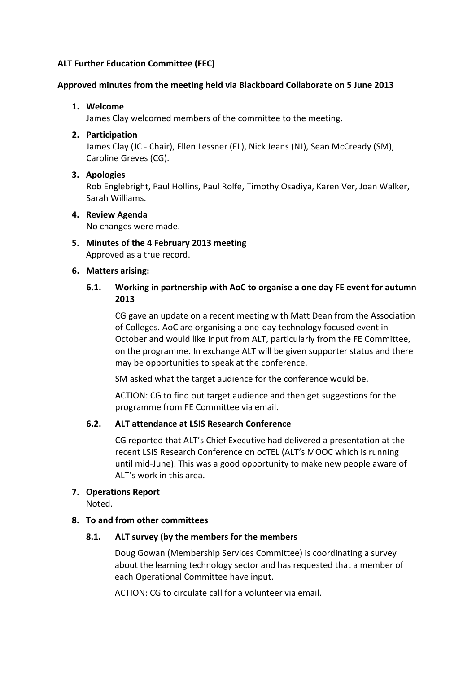# **ALT Further Education Committee (FEC)**

#### **Approved minutes from the meeting held via Blackboard Collaborate on 5 June 2013**

### **1. Welcome**

James Clay welcomed members of the committee to the meeting.

## **2. Participation**

James Clay (JC - Chair), Ellen Lessner (EL), Nick Jeans (NJ), Sean McCready (SM), Caroline Greves (CG).

#### **3. Apologies**

Rob Englebright, Paul Hollins, Paul Rolfe, Timothy Osadiya, Karen Ver, Joan Walker, Sarah Williams.

#### **4. Review Agenda**

No changes were made.

**5. Minutes of the 4 February 2013 meeting** Approved as a true record.

## **6. Matters arising:**

# **6.1. Working in partnership with AoC to organise a one day FE event for autumn 2013**

CG gave an update on a recent meeting with Matt Dean from the Association of Colleges. AoC are organising a one-day technology focused event in October and would like input from ALT, particularly from the FE Committee, on the programme. In exchange ALT will be given supporter status and there may be opportunities to speak at the conference.

SM asked what the target audience for the conference would be.

ACTION: CG to find out target audience and then get suggestions for the programme from FE Committee via email.

#### **6.2. ALT attendance at LSIS Research Conference**

CG reported that ALT's Chief Executive had delivered a presentation at the recent LSIS Research Conference on ocTEL (ALT's MOOC which is running until mid-June). This was a good opportunity to make new people aware of ALT's work in this area.

#### **7. Operations Report**

Noted.

### **8. To and from other committees**

#### **8.1. ALT survey (by the members for the members**

Doug Gowan (Membership Services Committee) is coordinating a survey about the learning technology sector and has requested that a member of each Operational Committee have input.

ACTION: CG to circulate call for a volunteer via email.